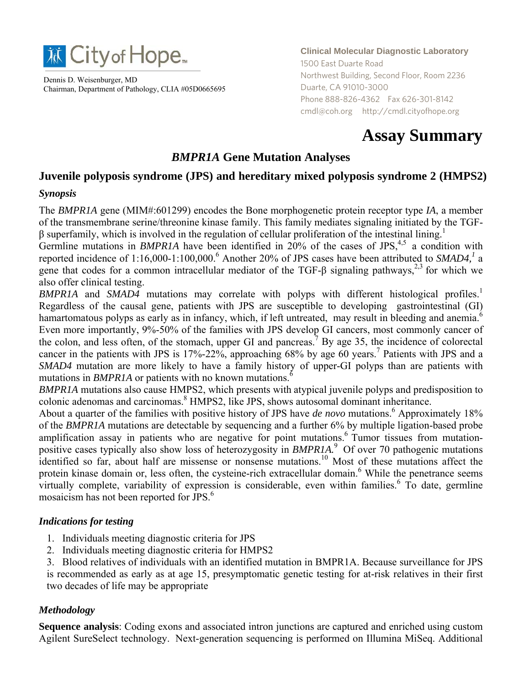

Dennis D. Weisenburger, MD Chairman, Department of Pathology, CLIA #05D0665695 **Clinical Molecular Diagnostic Laboratory** 1500 East Duarte Road Northwest Building, Second Floor, Room 2236 Duarte, CA 91010-3000 Phone 888-826-4362 Fax 626-301-8142 cmdl@coh.org http://cmdl.cityofhope.org

# **Assay Summary**

# *BMPR1A* **Gene Mutation Analyses**

# **Juvenile polyposis syndrome (JPS) and hereditary mixed polyposis syndrome 2 (HMPS2)**

#### *Synopsis*

The *BMPR1A* gene (MIM#:601299) encodes the Bone morphogenetic protein receptor type *IA*, a member of the transmembrane serine/threonine kinase family. This family mediates signaling initiated by the TGFβ superfamily, which is involved in the regulation of cellular proliferation of the intestinal lining.<sup>1</sup>

Germline mutations in *BMPR1A* have been identified in  $20\%$  of the cases of JPS,<sup>4,5</sup> a condition with reported incidence of 1:16,000-1:100,000.<sup>6</sup> Another 20% of JPS cases have been attributed to *SMAD4*,<sup>1</sup> a gene that codes for a common intracellular mediator of the TGF-β signaling pathways,<sup>2,3</sup> for which we also offer clinical testing.

*BMPR1A* and *SMAD4* mutations may correlate with polyps with different histological profiles.<sup>1</sup> Regardless of the causal gene, patients with JPS are susceptible to developing gastrointestinal (GI) hamartomatous polyps as early as in infancy, which, if left untreated, may result in bleeding and anemia.<sup>6</sup> Even more importantly, 9%-50% of the families with JPS develop GI cancers, most commonly cancer of the colon, and less often, of the stomach, upper GI and pancreas.<sup>7</sup> By age 35, the incidence of colorectal cancer in the patients with JPS is  $17\% - 22\%$ , approaching 68% by age 60 years.<sup>7</sup> Patients with JPS and a *SMAD4* mutation are more likely to have a family history of upper-GI polyps than are patients with mutations in *BMPR1A* or patients with no known mutations.<sup>6</sup>

*BMPR1A* mutations also cause HMPS2, which presents with atypical juvenile polyps and predisposition to colonic adenomas and carcinomas.<sup>8</sup> HMPS2, like JPS, shows autosomal dominant inheritance.

About a quarter of the families with positive history of JPS have *de novo* mutations.<sup>6</sup> Approximately 18% of the *BMPR1A* mutations are detectable by sequencing and a further 6% by multiple ligation-based probe amplification assay in patients who are negative for point mutations.<sup>6</sup> Tumor tissues from mutationpositive cases typically also show loss of heterozygosity in *BMPR1A.*9 Of over 70 pathogenic mutations identified so far, about half are missense or nonsense mutations.<sup>10</sup> Most of these mutations affect the protein kinase domain or, less often, the cysteine-rich extracellular domain.<sup>6</sup> While the penetrance seems virtually complete, variability of expression is considerable, even within families.<sup>6</sup> To date, germline mosaicism has not been reported for JPS.<sup>6</sup>

#### *Indications for testing*

- 1. Individuals meeting diagnostic criteria for JPS
- 2. Individuals meeting diagnostic criteria for HMPS2
- 3. Blood relatives of individuals with an identified mutation in BMPR1A. Because surveillance for JPS is recommended as early as at age 15, presymptomatic genetic testing for at-risk relatives in their first two decades of life may be appropriate

#### *Methodology*

**Sequence analysis**: Coding exons and associated intron junctions are captured and enriched using custom Agilent SureSelect technology. Next-generation sequencing is performed on Illumina MiSeq. Additional